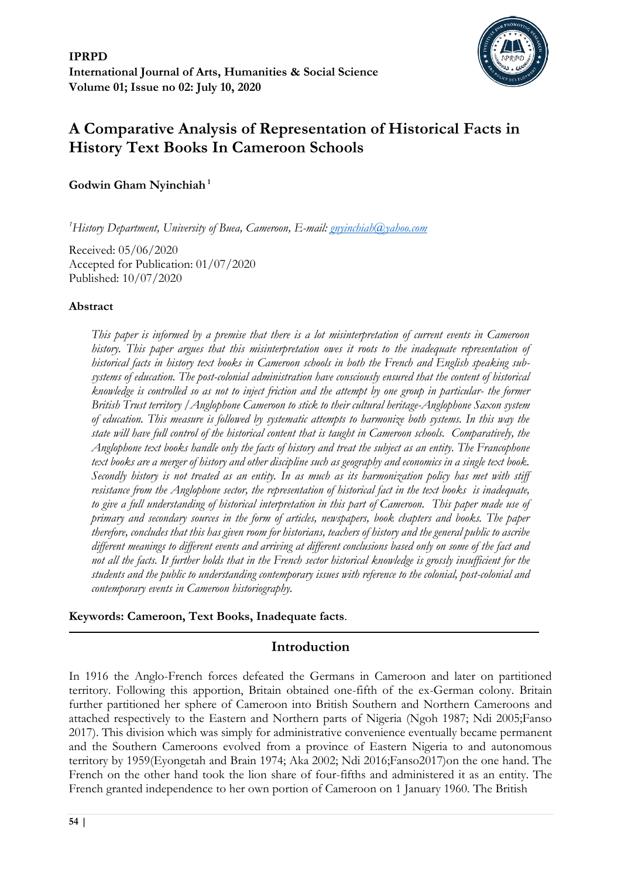

# **A Comparative Analysis of Representation of Historical Facts in History Text Books In Cameroon Schools**

**Godwin Gham Nyinchiah <sup>1</sup>**

*<sup>1</sup>History Department, University of Buea, Cameroon, E-mail: [gnyinchiah@yahoo.com](mailto:gnyinchiah@yahoo.com)*

Received: 05/06/2020 Accepted for Publication: 01/07/2020 Published: 10/07/2020

#### **Abstract**

*This paper is informed by a premise that there is a lot misinterpretation of current events in Cameroon history. This paper argues that this misinterpretation owes it roots to the inadequate representation of historical facts in history text books in Cameroon schools in both the French and English speaking subsystems of education. The post-colonial administration have consciously ensured that the content of historical knowledge is controlled so as not to inject friction and the attempt by one group in particular- the former British Trust territory /Anglophone Cameroon to stick to their cultural heritage-Anglophone Saxon system of education. This measure is followed by systematic attempts to harmonize both systems. In this way the state will have full control of the historical content that is taught in Cameroon schools. Comparatively, the Anglophone text books handle only the facts of history and treat the subject as an entity. The Francophone text books are a merger of history and other discipline such as geography and economics in a single text book. Secondly history is not treated as an entity. In as much as its harmonization policy has met with stiff resistance from the Anglophone sector, the representation of historical fact in the text books is inadequate, to give a full understanding of historical interpretation in this part of Cameroon. This paper made use of primary and secondary sources in the form of articles, newspapers, book chapters and books. The paper therefore, concludes that this has given room for historians, teachers of history and the general public to ascribe different meanings to different events and arriving at different conclusions based only on some of the fact and not all the facts. It further holds that in the French sector historical knowledge is grossly insufficient for the students and the public to understanding contemporary issues with reference to the colonial, post-colonial and contemporary events in Cameroon historiography.*

#### **Keywords: Cameroon, Text Books, Inadequate facts**.

# **Introduction**

In 1916 the Anglo-French forces defeated the Germans in Cameroon and later on partitioned territory. Following this apportion, Britain obtained one-fifth of the ex-German colony. Britain further partitioned her sphere of Cameroon into British Southern and Northern Cameroons and attached respectively to the Eastern and Northern parts of Nigeria (Ngoh 1987; Ndi 2005;Fanso 2017). This division which was simply for administrative convenience eventually became permanent and the Southern Cameroons evolved from a province of Eastern Nigeria to and autonomous territory by 1959(Eyongetah and Brain 1974; Aka 2002; Ndi 2016;Fanso2017)on the one hand. The French on the other hand took the lion share of four-fifths and administered it as an entity. The French granted independence to her own portion of Cameroon on 1 January 1960. The British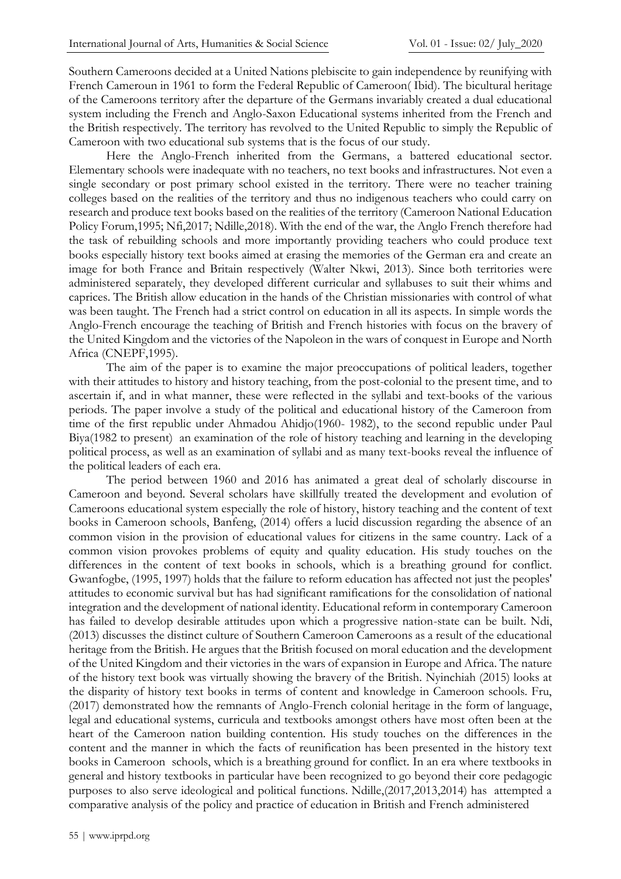Southern Cameroons decided at a United Nations plebiscite to gain independence by reunifying with French Cameroun in 1961 to form the Federal Republic of Cameroon( Ibid). The bicultural heritage of the Cameroons territory after the departure of the Germans invariably created a dual educational system including the French and Anglo-Saxon Educational systems inherited from the French and the British respectively. The territory has revolved to the United Republic to simply the Republic of Cameroon with two educational sub systems that is the focus of our study.

Here the Anglo-French inherited from the Germans, a battered educational sector. Elementary schools were inadequate with no teachers, no text books and infrastructures. Not even a single secondary or post primary school existed in the territory. There were no teacher training colleges based on the realities of the territory and thus no indigenous teachers who could carry on research and produce text books based on the realities of the territory (Cameroon National Education Policy Forum,1995; Nfi,2017; Ndille,2018). With the end of the war, the Anglo French therefore had the task of rebuilding schools and more importantly providing teachers who could produce text books especially history text books aimed at erasing the memories of the German era and create an image for both France and Britain respectively (Walter Nkwi, 2013). Since both territories were administered separately, they developed different curricular and syllabuses to suit their whims and caprices. The British allow education in the hands of the Christian missionaries with control of what was been taught. The French had a strict control on education in all its aspects. In simple words the Anglo-French encourage the teaching of British and French histories with focus on the bravery of the United Kingdom and the victories of the Napoleon in the wars of conquest in Europe and North Africa (CNEPF,1995).

The aim of the paper is to examine the major preoccupations of political leaders, together with their attitudes to history and history teaching, from the post-colonial to the present time, and to ascertain if, and in what manner, these were reflected in the syllabi and text-books of the various periods. The paper involve a study of the political and educational history of the Cameroon from time of the first republic under Ahmadou Ahidjo(1960- 1982), to the second republic under Paul Biya(1982 to present) an examination of the role of history teaching and learning in the developing political process, as well as an examination of syllabi and as many text-books reveal the influence of the political leaders of each era.

The period between 1960 and 2016 has animated a great deal of scholarly discourse in Cameroon and beyond. Several scholars have skillfully treated the development and evolution of Cameroons educational system especially the role of history, history teaching and the content of text books in Cameroon schools, Banfeng, (2014) offers a lucid discussion regarding the absence of an common vision in the provision of educational values for citizens in the same country. Lack of a common vision provokes problems of equity and quality education. His study touches on the differences in the content of text books in schools, which is a breathing ground for conflict. Gwanfogbe, (1995, 1997) holds that the failure to reform education has affected not just the peoples' attitudes to economic survival but has had significant ramifications for the consolidation of national integration and the development of national identity. Educational reform in contemporary Cameroon has failed to develop desirable attitudes upon which a progressive nation-state can be built. Ndi, (2013) discusses the distinct culture of Southern Cameroon Cameroons as a result of the educational heritage from the British. He argues that the British focused on moral education and the development of the United Kingdom and their victories in the wars of expansion in Europe and Africa. The nature of the history text book was virtually showing the bravery of the British. Nyinchiah (2015) looks at the disparity of history text books in terms of content and knowledge in Cameroon schools. Fru, (2017) demonstrated how the remnants of Anglo-French colonial heritage in the form of language, legal and educational systems, curricula and textbooks amongst others have most often been at the heart of the Cameroon nation building contention. His study touches on the differences in the content and the manner in which the facts of reunification has been presented in the history text books in Cameroon schools, which is a breathing ground for conflict. In an era where textbooks in general and history textbooks in particular have been recognized to go beyond their core pedagogic purposes to also serve ideological and political functions. Ndille,(2017,2013,2014) has attempted a comparative analysis of the policy and practice of education in British and French administered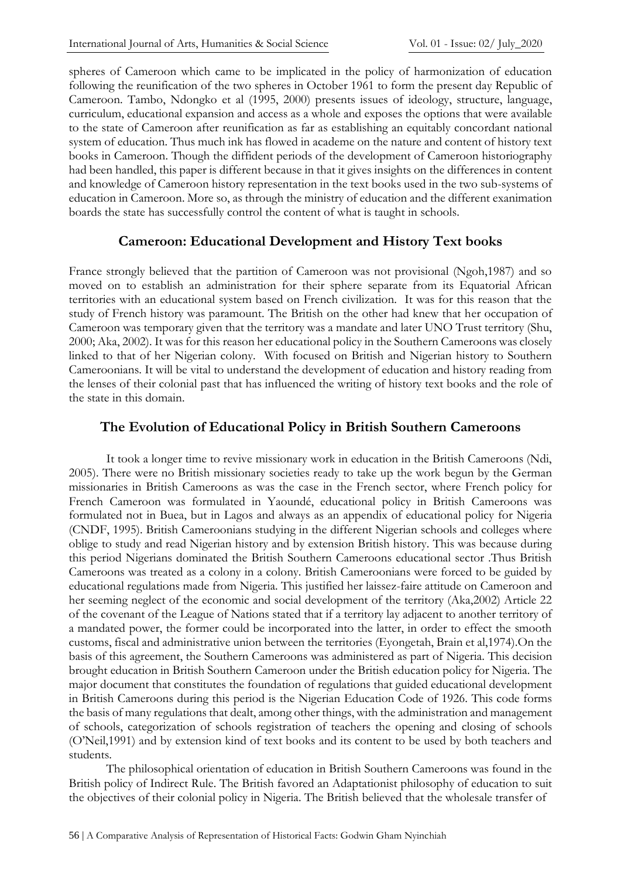spheres of Cameroon which came to be implicated in the policy of harmonization of education following the reunification of the two spheres in October 1961 to form the present day Republic of Cameroon. Tambo, Ndongko et al (1995, 2000) presents issues of ideology, structure, language, curriculum, educational expansion and access as a whole and exposes the options that were available to the state of Cameroon after reunification as far as establishing an equitably concordant national system of education. Thus much ink has flowed in academe on the nature and content of history text books in Cameroon. Though the diffident periods of the development of Cameroon historiography had been handled, this paper is different because in that it gives insights on the differences in content and knowledge of Cameroon history representation in the text books used in the two sub-systems of education in Cameroon. More so, as through the ministry of education and the different exanimation boards the state has successfully control the content of what is taught in schools.

# **Cameroon: Educational Development and History Text books**

France strongly believed that the partition of Cameroon was not provisional (Ngoh,1987) and so moved on to establish an administration for their sphere separate from its Equatorial African territories with an educational system based on French civilization. It was for this reason that the study of French history was paramount. The British on the other had knew that her occupation of Cameroon was temporary given that the territory was a mandate and later UNO Trust territory (Shu, 2000; Aka, 2002). It was for this reason her educational policy in the Southern Cameroons was closely linked to that of her Nigerian colony. With focused on British and Nigerian history to Southern Cameroonians. It will be vital to understand the development of education and history reading from the lenses of their colonial past that has influenced the writing of history text books and the role of the state in this domain.

# **The Evolution of Educational Policy in British Southern Cameroons**

It took a longer time to revive missionary work in education in the British Cameroons (Ndi, 2005). There were no British missionary societies ready to take up the work begun by the German missionaries in British Cameroons as was the case in the French sector, where French policy for French Cameroon was formulated in Yaoundé, educational policy in British Cameroons was formulated not in Buea, but in Lagos and always as an appendix of educational policy for Nigeria (CNDF, 1995). British Cameroonians studying in the different Nigerian schools and colleges where oblige to study and read Nigerian history and by extension British history. This was because during this period Nigerians dominated the British Southern Cameroons educational sector .Thus British Cameroons was treated as a colony in a colony. British Cameroonians were forced to be guided by educational regulations made from Nigeria. This justified her laissez-faire attitude on Cameroon and her seeming neglect of the economic and social development of the territory (Aka,2002) Article 22 of the covenant of the League of Nations stated that if a territory lay adjacent to another territory of a mandated power, the former could be incorporated into the latter, in order to effect the smooth customs, fiscal and administrative union between the territories (Eyongetah, Brain et al,1974).On the basis of this agreement, the Southern Cameroons was administered as part of Nigeria. This decision brought education in British Southern Cameroon under the British education policy for Nigeria. The major document that constitutes the foundation of regulations that guided educational development in British Cameroons during this period is the Nigerian Education Code of 1926. This code forms the basis of many regulations that dealt, among other things, with the administration and management of schools, categorization of schools registration of teachers the opening and closing of schools (O'Neil,1991) and by extension kind of text books and its content to be used by both teachers and students.

The philosophical orientation of education in British Southern Cameroons was found in the British policy of Indirect Rule. The British favored an Adaptationist philosophy of education to suit the objectives of their colonial policy in Nigeria. The British believed that the wholesale transfer of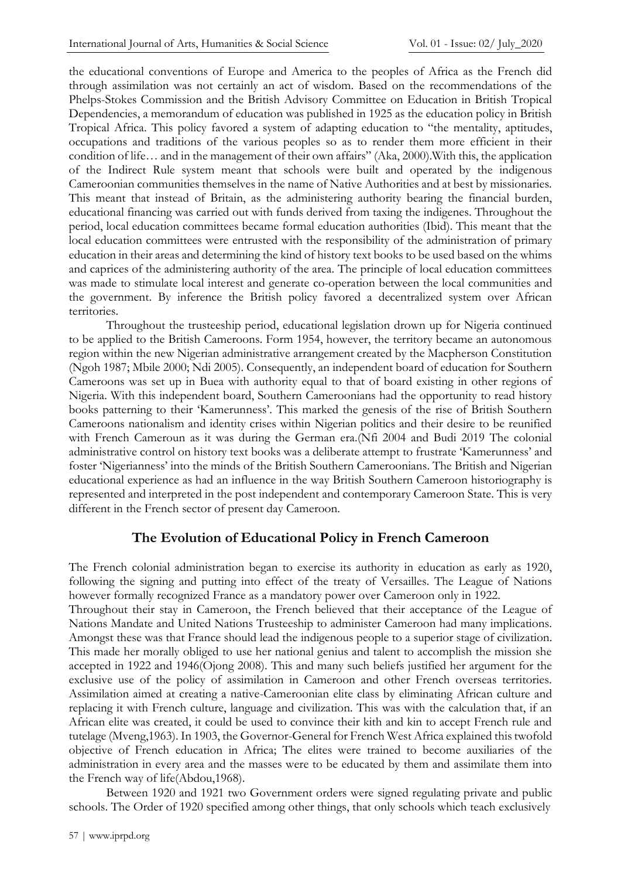the educational conventions of Europe and America to the peoples of Africa as the French did through assimilation was not certainly an act of wisdom. Based on the recommendations of the Phelps-Stokes Commission and the British Advisory Committee on Education in British Tropical Dependencies, a memorandum of education was published in 1925 as the education policy in British Tropical Africa. This policy favored a system of adapting education to "the mentality, aptitudes, occupations and traditions of the various peoples so as to render them more efficient in their condition of life… and in the management of their own affairs" (Aka, 2000).With this, the application of the Indirect Rule system meant that schools were built and operated by the indigenous Cameroonian communities themselves in the name of Native Authorities and at best by missionaries. This meant that instead of Britain, as the administering authority bearing the financial burden, educational financing was carried out with funds derived from taxing the indigenes. Throughout the period, local education committees became formal education authorities (Ibid). This meant that the local education committees were entrusted with the responsibility of the administration of primary education in their areas and determining the kind of history text books to be used based on the whims and caprices of the administering authority of the area. The principle of local education committees was made to stimulate local interest and generate co-operation between the local communities and the government. By inference the British policy favored a decentralized system over African territories.

Throughout the trusteeship period, educational legislation drown up for Nigeria continued to be applied to the British Cameroons. Form 1954, however, the territory became an autonomous region within the new Nigerian administrative arrangement created by the Macpherson Constitution (Ngoh 1987; Mbile 2000; Ndi 2005). Consequently, an independent board of education for Southern Cameroons was set up in Buea with authority equal to that of board existing in other regions of Nigeria. With this independent board, Southern Cameroonians had the opportunity to read history books patterning to their 'Kamerunness'. This marked the genesis of the rise of British Southern Cameroons nationalism and identity crises within Nigerian politics and their desire to be reunified with French Cameroun as it was during the German era.(Nfi 2004 and Budi 2019 The colonial administrative control on history text books was a deliberate attempt to frustrate 'Kamerunness' and foster 'Nigerianness' into the minds of the British Southern Cameroonians. The British and Nigerian educational experience as had an influence in the way British Southern Cameroon historiography is represented and interpreted in the post independent and contemporary Cameroon State. This is very different in the French sector of present day Cameroon.

# **The Evolution of Educational Policy in French Cameroon**

The French colonial administration began to exercise its authority in education as early as 1920, following the signing and putting into effect of the treaty of Versailles. The League of Nations however formally recognized France as a mandatory power over Cameroon only in 1922.

Throughout their stay in Cameroon, the French believed that their acceptance of the League of Nations Mandate and United Nations Trusteeship to administer Cameroon had many implications. Amongst these was that France should lead the indigenous people to a superior stage of civilization. This made her morally obliged to use her national genius and talent to accomplish the mission she accepted in 1922 and 1946(Ojong 2008). This and many such beliefs justified her argument for the exclusive use of the policy of assimilation in Cameroon and other French overseas territories. Assimilation aimed at creating a native-Cameroonian elite class by eliminating African culture and replacing it with French culture, language and civilization. This was with the calculation that, if an African elite was created, it could be used to convince their kith and kin to accept French rule and tutelage (Mveng,1963). In 1903, the Governor-General for French West Africa explained this twofold objective of French education in Africa; The elites were trained to become auxiliaries of the administration in every area and the masses were to be educated by them and assimilate them into the French way of life(Abdou,1968).

Between 1920 and 1921 two Government orders were signed regulating private and public schools. The Order of 1920 specified among other things, that only schools which teach exclusively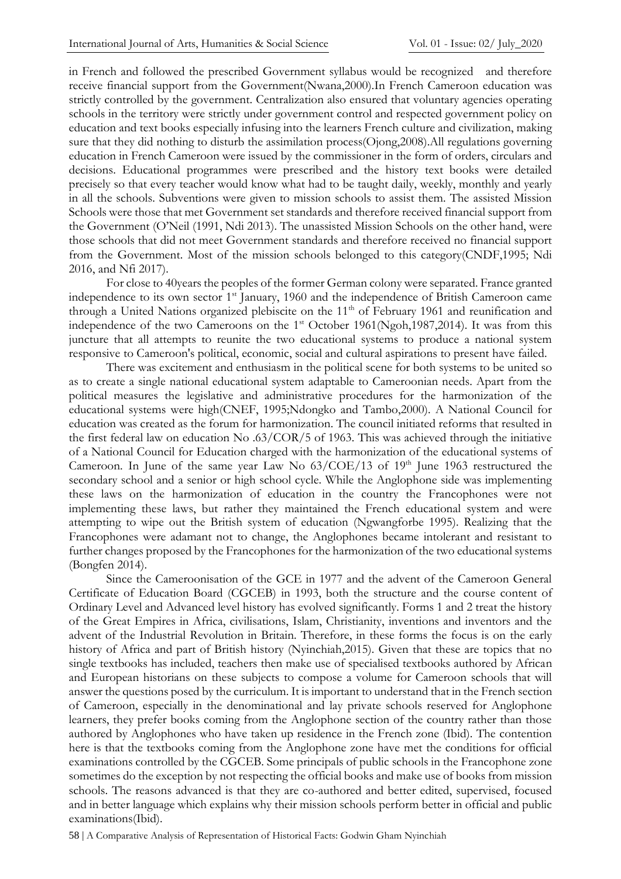in French and followed the prescribed Government syllabus would be recognized and therefore receive financial support from the Government(Nwana,2000).In French Cameroon education was strictly controlled by the government. Centralization also ensured that voluntary agencies operating schools in the territory were strictly under government control and respected government policy on education and text books especially infusing into the learners French culture and civilization, making sure that they did nothing to disturb the assimilation process(Ojong,2008).All regulations governing education in French Cameroon were issued by the commissioner in the form of orders, circulars and decisions. Educational programmes were prescribed and the history text books were detailed precisely so that every teacher would know what had to be taught daily, weekly, monthly and yearly in all the schools. Subventions were given to mission schools to assist them. The assisted Mission Schools were those that met Government set standards and therefore received financial support from the Government (O'Neil (1991, Ndi 2013). The unassisted Mission Schools on the other hand, were those schools that did not meet Government standards and therefore received no financial support from the Government. Most of the mission schools belonged to this category(CNDF,1995; Ndi 2016, and Nfi 2017).

For close to 40years the peoples of the former German colony were separated. France granted independence to its own sector 1<sup>st</sup> January, 1960 and the independence of British Cameroon came through a United Nations organized plebiscite on the 11<sup>th</sup> of February 1961 and reunification and independence of the two Cameroons on the  $1<sup>st</sup>$  October 1961(Ngoh,1987,2014). It was from this juncture that all attempts to reunite the two educational systems to produce a national system responsive to Cameroon's political, economic, social and cultural aspirations to present have failed.

There was excitement and enthusiasm in the political scene for both systems to be united so as to create a single national educational system adaptable to Cameroonian needs. Apart from the political measures the legislative and administrative procedures for the harmonization of the educational systems were high(CNEF, 1995;Ndongko and Tambo,2000). A National Council for education was created as the forum for harmonization. The council initiated reforms that resulted in the first federal law on education No .63/COR/5 of 1963. This was achieved through the initiative of a National Council for Education charged with the harmonization of the educational systems of Cameroon. In June of the same year Law No  $63/COE/13$  of  $19<sup>th</sup>$  June 1963 restructured the secondary school and a senior or high school cycle. While the Anglophone side was implementing these laws on the harmonization of education in the country the Francophones were not implementing these laws, but rather they maintained the French educational system and were attempting to wipe out the British system of education (Ngwangforbe 1995). Realizing that the Francophones were adamant not to change, the Anglophones became intolerant and resistant to further changes proposed by the Francophones for the harmonization of the two educational systems (Bongfen 2014).

Since the Cameroonisation of the GCE in 1977 and the advent of the Cameroon General Certificate of Education Board (CGCEB) in 1993, both the structure and the course content of Ordinary Level and Advanced level history has evolved significantly. Forms 1 and 2 treat the history of the Great Empires in Africa, civilisations, Islam, Christianity, inventions and inventors and the advent of the Industrial Revolution in Britain. Therefore, in these forms the focus is on the early history of Africa and part of British history (Nyinchiah,2015). Given that these are topics that no single textbooks has included, teachers then make use of specialised textbooks authored by African and European historians on these subjects to compose a volume for Cameroon schools that will answer the questions posed by the curriculum. It is important to understand that in the French section of Cameroon, especially in the denominational and lay private schools reserved for Anglophone learners, they prefer books coming from the Anglophone section of the country rather than those authored by Anglophones who have taken up residence in the French zone (Ibid). The contention here is that the textbooks coming from the Anglophone zone have met the conditions for official examinations controlled by the CGCEB. Some principals of public schools in the Francophone zone sometimes do the exception by not respecting the official books and make use of books from mission schools. The reasons advanced is that they are co-authored and better edited, supervised, focused and in better language which explains why their mission schools perform better in official and public examinations(Ibid).

58 | A Comparative Analysis of Representation of Historical Facts: Godwin Gham Nyinchiah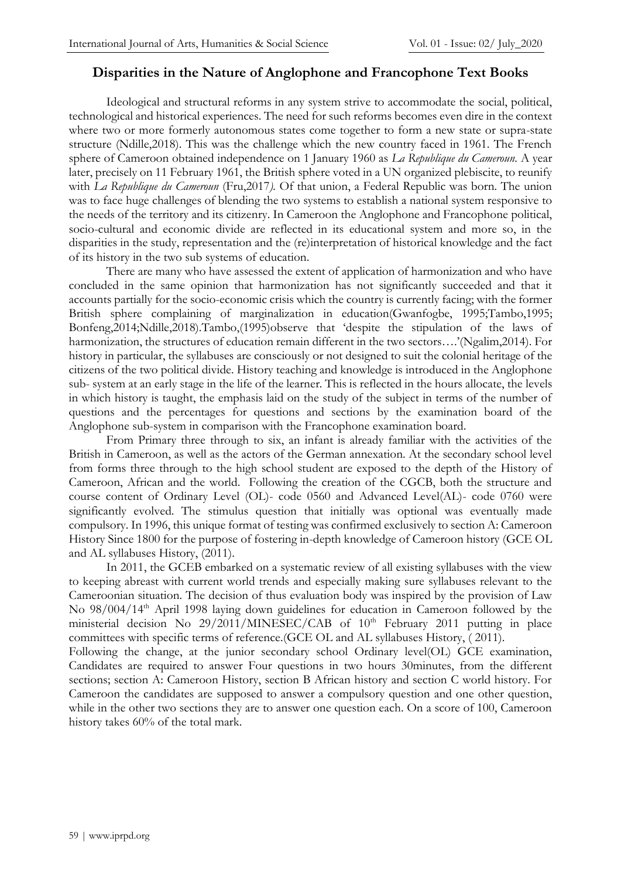### **Disparities in the Nature of Anglophone and Francophone Text Books**

Ideological and structural reforms in any system strive to accommodate the social, political, technological and historical experiences. The need for such reforms becomes even dire in the context where two or more formerly autonomous states come together to form a new state or supra-state structure (Ndille,2018). This was the challenge which the new country faced in 1961. The French sphere of Cameroon obtained independence on 1 January 1960 as *La Republique du Cameroun.* A year later, precisely on 11 February 1961, the British sphere voted in a UN organized plebiscite, to reunify with *La Republique du Cameroun* (Fru,2017*).* Of that union, a Federal Republic was born. The union was to face huge challenges of blending the two systems to establish a national system responsive to the needs of the territory and its citizenry. In Cameroon the Anglophone and Francophone political, socio-cultural and economic divide are reflected in its educational system and more so, in the disparities in the study, representation and the (re)interpretation of historical knowledge and the fact of its history in the two sub systems of education.

There are many who have assessed the extent of application of harmonization and who have concluded in the same opinion that harmonization has not significantly succeeded and that it accounts partially for the socio-economic crisis which the country is currently facing; with the former British sphere complaining of marginalization in education(Gwanfogbe, 1995;Tambo,1995; Bonfeng,2014;Ndille,2018).Tambo,(1995)observe that 'despite the stipulation of the laws of harmonization, the structures of education remain different in the two sectors….'(Ngalim,2014). For history in particular, the syllabuses are consciously or not designed to suit the colonial heritage of the citizens of the two political divide. History teaching and knowledge is introduced in the Anglophone sub- system at an early stage in the life of the learner. This is reflected in the hours allocate, the levels in which history is taught, the emphasis laid on the study of the subject in terms of the number of questions and the percentages for questions and sections by the examination board of the Anglophone sub-system in comparison with the Francophone examination board.

From Primary three through to six, an infant is already familiar with the activities of the British in Cameroon, as well as the actors of the German annexation. At the secondary school level from forms three through to the high school student are exposed to the depth of the History of Cameroon, African and the world. Following the creation of the CGCB, both the structure and course content of Ordinary Level (OL)- code 0560 and Advanced Level(AL)- code 0760 were significantly evolved. The stimulus question that initially was optional was eventually made compulsory. In 1996, this unique format of testing was confirmed exclusively to section A: Cameroon History Since 1800 for the purpose of fostering in-depth knowledge of Cameroon history (GCE OL and AL syllabuses History, (2011).

In 2011, the GCEB embarked on a systematic review of all existing syllabuses with the view to keeping abreast with current world trends and especially making sure syllabuses relevant to the Cameroonian situation. The decision of thus evaluation body was inspired by the provision of Law No 98/004/14<sup>th</sup> April 1998 laying down guidelines for education in Cameroon followed by the ministerial decision No  $29/2011/MINESEC/ CAB$  of  $10<sup>th</sup>$  February 2011 putting in place committees with specific terms of reference.(GCE OL and AL syllabuses History, ( 2011). Following the change, at the junior secondary school Ordinary level(OL) GCE examination, Candidates are required to answer Four questions in two hours 30minutes, from the different sections; section A: Cameroon History, section B African history and section C world history. For Cameroon the candidates are supposed to answer a compulsory question and one other question, while in the other two sections they are to answer one question each. On a score of 100, Cameroon history takes 60% of the total mark.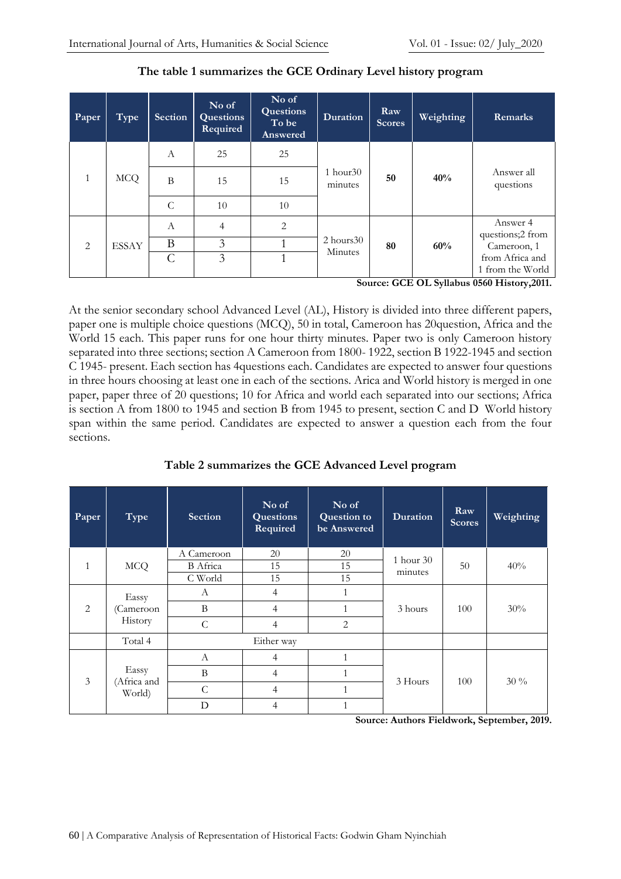| Paper        | Type         | <b>Section</b>   | No of<br><b>Questions</b><br>Required | No of<br><b>Questions</b><br>To be<br>Answered | <b>Duration</b>           | Raw<br><b>Scores</b> | Weighting | Remarks                                                                               |
|--------------|--------------|------------------|---------------------------------------|------------------------------------------------|---------------------------|----------------------|-----------|---------------------------------------------------------------------------------------|
|              | <b>MCQ</b>   | $\boldsymbol{A}$ | 25                                    | 25                                             | $1$ hour $30$<br>minutes  | 50                   | 40%       | Answer all<br>questions                                                               |
| $\mathbf{1}$ |              | B                | 15                                    | 15                                             |                           |                      |           |                                                                                       |
|              |              | $\mathsf{C}$     | 10                                    | 10                                             |                           |                      |           |                                                                                       |
| 2            | <b>ESSAY</b> | A                | $\overline{4}$                        | $\overline{2}$                                 | $2$ hours $30$<br>Minutes | 80                   | 60%       | Answer 4<br>questions;2 from                                                          |
|              |              | B                | 3                                     |                                                |                           |                      |           | Cameroon, 1                                                                           |
|              |              | $\mathcal{C}$    | 3                                     | 1                                              |                           |                      |           | from Africa and<br>1 from the World<br>$0 \leq C \leq T$ $T$ $T$ $\leq$ $\sim$ $0.44$ |

#### **The table 1 summarizes the GCE Ordinary Level history program**

**Source: GCE OL Syllabus 0560 History,2011.**

At the senior secondary school Advanced Level (AL), History is divided into three different papers, paper one is multiple choice questions (MCQ), 50 in total, Cameroon has 20question, Africa and the World 15 each. This paper runs for one hour thirty minutes. Paper two is only Cameroon history separated into three sections; section A Cameroon from 1800- 1922, section B 1922-1945 and section C 1945- present. Each section has 4questions each. Candidates are expected to answer four questions in three hours choosing at least one in each of the sections. Arica and World history is merged in one paper, paper three of 20 questions; 10 for Africa and world each separated into our sections; Africa is section A from 1800 to 1945 and section B from 1945 to present, section C and D World history span within the same period. Candidates are expected to answer a question each from the four sections.

**Table 2 summarizes the GCE Advanced Level program**

| Paper        | Type                           | <b>Section</b>  | No of<br><b>Questions</b><br>Required | No of<br><b>Question to</b><br>be Answered | <b>Duration</b> | Raw<br><b>Scores</b> | Weighting |
|--------------|--------------------------------|-----------------|---------------------------------------|--------------------------------------------|-----------------|----------------------|-----------|
|              | <b>MCQ</b>                     | A Cameroon      | 20                                    | 20                                         | 1 hour 30       | 50                   | 40%       |
| $\mathbf{1}$ |                                | <b>B</b> Africa | 15                                    | 15                                         | minutes         |                      |           |
|              |                                | C World         | 15                                    | 15                                         |                 |                      |           |
| 2            | Eassy<br>(Cameroon<br>History  | А               | $\overline{4}$                        | 1                                          |                 | 100                  | 30%       |
|              |                                | B               | $\overline{4}$                        |                                            | 3 hours         |                      |           |
|              |                                | C               | 4                                     | 2                                          |                 |                      |           |
|              | Total 4                        | Either way      |                                       |                                            |                 |                      |           |
| 3            | Eassy<br>(Africa and<br>World) | A               | $\overline{4}$                        | 1                                          |                 | 100                  | $30\%$    |
|              |                                | B               | 4                                     |                                            |                 |                      |           |
|              |                                | C               | $\overline{4}$                        |                                            | 3 Hours         |                      |           |
|              |                                | D               | 4                                     |                                            |                 |                      |           |

**Source: Authors Fieldwork, September, 2019.**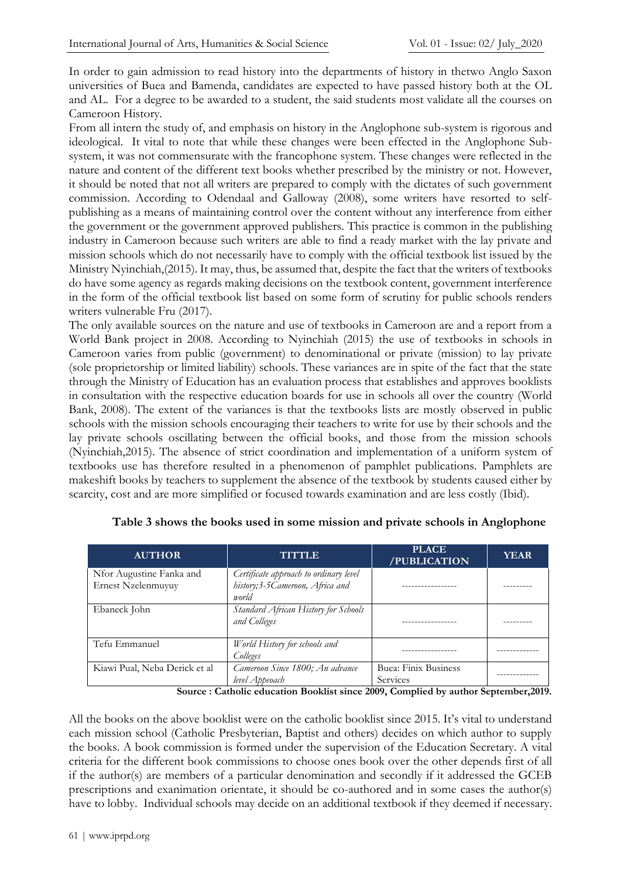In order to gain admission to read history into the departments of history in thetwo Anglo Saxon universities of Buea and Bamenda, candidates are expected to have passed history both at the OL and AL. For a degree to be awarded to a student, the said students most validate all the courses on Cameroon History.

From all intern the study of, and emphasis on history in the Anglophone sub-system is rigorous and ideological. It vital to note that while these changes were been effected in the Anglophone Subsystem, it was not commensurate with the francophone system. These changes were reflected in the nature and content of the different text books whether prescribed by the ministry or not. However, it should be noted that not all writers are prepared to comply with the dictates of such government commission. According to Odendaal and Galloway (2008), some writers have resorted to selfpublishing as a means of maintaining control over the content without any interference from either the government or the government approved publishers. This practice is common in the publishing industry in Cameroon because such writers are able to find a ready market with the lay private and mission schools which do not necessarily have to comply with the official textbook list issued by the Ministry Nyinchiah,(2015). It may, thus, be assumed that, despite the fact that the writers of textbooks do have some agency as regards making decisions on the textbook content, government interference in the form of the official textbook list based on some form of scrutiny for public schools renders writers vulnerable Fru (2017).

The only available sources on the nature and use of textbooks in Cameroon are and a report from a World Bank project in 2008. According to Nyinchiah (2015) the use of textbooks in schools in Cameroon varies from public (government) to denominational or private (mission) to lay private (sole proprietorship or limited liability) schools. These variances are in spite of the fact that the state through the Ministry of Education has an evaluation process that establishes and approves booklists in consultation with the respective education boards for use in schools all over the country (World Bank, 2008). The extent of the variances is that the textbooks lists are mostly observed in public schools with the mission schools encouraging their teachers to write for use by their schools and the lay private schools oscillating between the official books, and those from the mission schools (Nyinchiah,2015). The absence of strict coordination and implementation of a uniform system of textbooks use has therefore resulted in a phenomenon of pamphlet publications. Pamphlets are makeshift books by teachers to supplement the absence of the textbook by students caused either by scarcity, cost and are more simplified or focused towards examination and are less costly (Ibid).

| <b>AUTHOR</b>                                  | <b>TITTLE</b>                                                                      | <b>PLACE</b><br>/PUBLICATION     | <b>YEAR</b> |
|------------------------------------------------|------------------------------------------------------------------------------------|----------------------------------|-------------|
| Nfor Augustine Fanka and<br>Ernest Nzelenmuyuy | Certificate approach to ordinary level<br>history;3-5Cameroon, Africa and<br>world |                                  |             |
| Ebaneck John                                   | Standard African History for Schools<br>and Colleges                               |                                  |             |
| Tefu Emmanuel                                  | World History for schools and<br>Colleges                                          |                                  |             |
| Kiawi Pual, Neba Derick et al                  | Cameroon Since 1800; An advance<br>level Appeoach                                  | Buea: Finix Business<br>Services |             |

| Table 3 shows the books used in some mission and private schools in Anglophone |  |  |  |
|--------------------------------------------------------------------------------|--|--|--|
|                                                                                |  |  |  |
|                                                                                |  |  |  |

**Source : Catholic education Booklist since 2009, Complied by author September,2019.**

All the books on the above booklist were on the catholic booklist since 2015. It's vital to understand each mission school (Catholic Presbyterian, Baptist and others) decides on which author to supply the books. A book commission is formed under the supervision of the Education Secretary. A vital criteria for the different book commissions to choose ones book over the other depends first of all if the author(s) are members of a particular denomination and secondly if it addressed the GCEB prescriptions and exanimation orientate, it should be co-authored and in some cases the author(s) have to lobby. Individual schools may decide on an additional textbook if they deemed if necessary.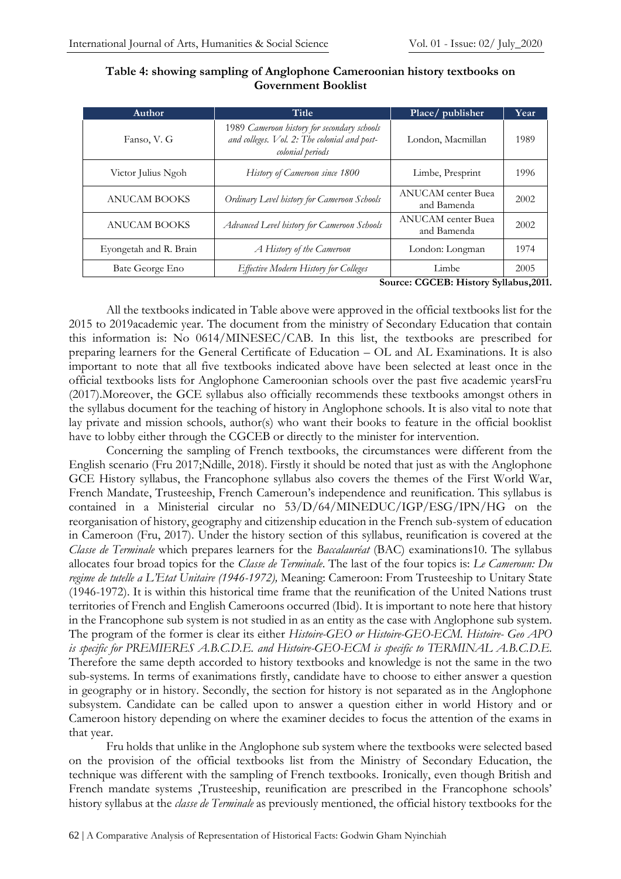| <b>Author</b>          | Title                                                                                                           | Place/publisher                          | Year |
|------------------------|-----------------------------------------------------------------------------------------------------------------|------------------------------------------|------|
| Fanso, V. G            | 1989 Cameroon history for secondary schools<br>and colleges. Vol. 2: The colonial and post-<br>colonial periods | London, Macmillan                        | 1989 |
| Victor Julius Ngoh     | History of Cameroon since 1800                                                                                  | Limbe, Presprint                         | 1996 |
| <b>ANUCAM BOOKS</b>    | Ordinary Level history for Cameroon Schools                                                                     | <b>ANUCAM</b> center Buea<br>and Bamenda | 2002 |
| <b>ANUCAM BOOKS</b>    | Advanced Level history for Cameroon Schools                                                                     | <b>ANUCAM</b> center Buea<br>and Bamenda | 2002 |
| Eyongetah and R. Brain | A History of the Cameroon                                                                                       | London: Longman                          | 1974 |
| Bate George Eno        | Effective Modern History for Colleges                                                                           | Limbe                                    | 2005 |

**Table 4: showing sampling of Anglophone Cameroonian history textbooks on Government Booklist**

**Source: CGCEB: History Syllabus,2011.**

All the textbooks indicated in Table above were approved in the official textbooks list for the 2015 to 2019academic year. The document from the ministry of Secondary Education that contain this information is: No 0614/MINESEC/CAB. In this list, the textbooks are prescribed for preparing learners for the General Certificate of Education – OL and AL Examinations. It is also important to note that all five textbooks indicated above have been selected at least once in the official textbooks lists for Anglophone Cameroonian schools over the past five academic yearsFru (2017).Moreover, the GCE syllabus also officially recommends these textbooks amongst others in the syllabus document for the teaching of history in Anglophone schools. It is also vital to note that lay private and mission schools, author(s) who want their books to feature in the official booklist have to lobby either through the CGCEB or directly to the minister for intervention.

Concerning the sampling of French textbooks, the circumstances were different from the English scenario (Fru 2017;Ndille, 2018). Firstly it should be noted that just as with the Anglophone GCE History syllabus, the Francophone syllabus also covers the themes of the First World War, French Mandate, Trusteeship, French Cameroun's independence and reunification. This syllabus is contained in a Ministerial circular no 53/D/64/MINEDUC/IGP/ESG/IPN/HG on the reorganisation of history, geography and citizenship education in the French sub-system of education in Cameroon (Fru, 2017). Under the history section of this syllabus, reunification is covered at the *Classe de Terminale* which prepares learners for the *Baccalauréat* (BAC) examinations10. The syllabus allocates four broad topics for the *Classe de Terminale*. The last of the four topics is: *Le Cameroun: Du regime de tutelle a L'Etat Unitaire (1946-1972),* Meaning: Cameroon: From Trusteeship to Unitary State (1946-1972). It is within this historical time frame that the reunification of the United Nations trust territories of French and English Cameroons occurred (Ibid). It is important to note here that history in the Francophone sub system is not studied in as an entity as the case with Anglophone sub system. The program of the former is clear its either *Histoire-GEO or Histoire-GEO-ECM. Histoire- Geo APO is specific for PREMIERES A.B.C.D.E. and Histoire-GEO-ECM is specific to TERMINAL A.B.C.D.E.*  Therefore the same depth accorded to history textbooks and knowledge is not the same in the two sub-systems. In terms of exanimations firstly, candidate have to choose to either answer a question in geography or in history. Secondly, the section for history is not separated as in the Anglophone subsystem. Candidate can be called upon to answer a question either in world History and or Cameroon history depending on where the examiner decides to focus the attention of the exams in that year.

Fru holds that unlike in the Anglophone sub system where the textbooks were selected based on the provision of the official textbooks list from the Ministry of Secondary Education, the technique was different with the sampling of French textbooks. Ironically, even though British and French mandate systems ,Trusteeship, reunification are prescribed in the Francophone schools' history syllabus at the *classe de Terminale* as previously mentioned, the official history textbooks for the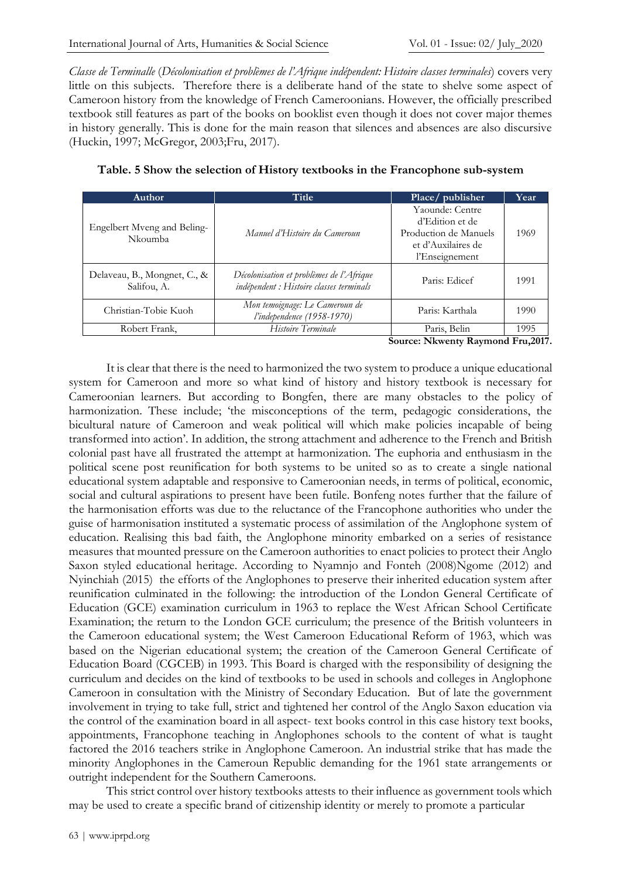*Classe de Terminalle* (*Décolonisation et problèmes de l'Afrique indépendent: Histoire classes terminales*) covers very little on this subjects. Therefore there is a deliberate hand of the state to shelve some aspect of Cameroon history from the knowledge of French Cameroonians. However, the officially prescribed textbook still features as part of the books on booklist even though it does not cover major themes in history generally. This is done for the main reason that silences and absences are also discursive (Huckin, 1997; McGregor, 2003;Fru, 2017).

| <b>Author</b>                               | Title                                                                                | Place/publisher                                                                                     | Year |
|---------------------------------------------|--------------------------------------------------------------------------------------|-----------------------------------------------------------------------------------------------------|------|
| Engelbert Mveng and Beling-<br>Nkoumba      | Manuel d'Histoire du Cameroun                                                        | Yaounde: Centre<br>d'Edition et de<br>Production de Manuels<br>et d'Auxilaires de<br>l'Enseignement | 1969 |
| Delaveau, B., Mongnet, C., &<br>Salifou, A. | Décolonisation et problèmes de l'Afrique<br>indépendent : Histoire classes terminals | Paris: Edicef                                                                                       | 1991 |
| Christian-Tobie Kuoh                        | Mon temoignage: Le Cameroun de<br>l'independence (1958-1970)                         | Paris: Karthala                                                                                     | 1990 |
| Robert Frank,                               | Histoire Terminale                                                                   | Paris, Belin                                                                                        | 1995 |

|  | Table. 5 Show the selection of History textbooks in the Francophone sub-system |
|--|--------------------------------------------------------------------------------|
|--|--------------------------------------------------------------------------------|

**Source: Nkwenty Raymond Fru,2017.**

It is clear that there is the need to harmonized the two system to produce a unique educational system for Cameroon and more so what kind of history and history textbook is necessary for Cameroonian learners. But according to Bongfen, there are many obstacles to the policy of harmonization. These include; 'the misconceptions of the term, pedagogic considerations, the bicultural nature of Cameroon and weak political will which make policies incapable of being transformed into action'. In addition, the strong attachment and adherence to the French and British colonial past have all frustrated the attempt at harmonization. The euphoria and enthusiasm in the political scene post reunification for both systems to be united so as to create a single national educational system adaptable and responsive to Cameroonian needs, in terms of political, economic, social and cultural aspirations to present have been futile. Bonfeng notes further that the failure of the harmonisation efforts was due to the reluctance of the Francophone authorities who under the guise of harmonisation instituted a systematic process of assimilation of the Anglophone system of education. Realising this bad faith, the Anglophone minority embarked on a series of resistance measures that mounted pressure on the Cameroon authorities to enact policies to protect their Anglo Saxon styled educational heritage. According to Nyamnjo and Fonteh (2008)Ngome (2012) and Nyinchiah (2015) the efforts of the Anglophones to preserve their inherited education system after reunification culminated in the following: the introduction of the London General Certificate of Education (GCE) examination curriculum in 1963 to replace the West African School Certificate Examination; the return to the London GCE curriculum; the presence of the British volunteers in the Cameroon educational system; the West Cameroon Educational Reform of 1963, which was based on the Nigerian educational system; the creation of the Cameroon General Certificate of Education Board (CGCEB) in 1993. This Board is charged with the responsibility of designing the curriculum and decides on the kind of textbooks to be used in schools and colleges in Anglophone Cameroon in consultation with the Ministry of Secondary Education. But of late the government involvement in trying to take full, strict and tightened her control of the Anglo Saxon education via the control of the examination board in all aspect- text books control in this case history text books, appointments, Francophone teaching in Anglophones schools to the content of what is taught factored the 2016 teachers strike in Anglophone Cameroon. An industrial strike that has made the minority Anglophones in the Cameroun Republic demanding for the 1961 state arrangements or outright independent for the Southern Cameroons.

This strict control over history textbooks attests to their influence as government tools which may be used to create a specific brand of citizenship identity or merely to promote a particular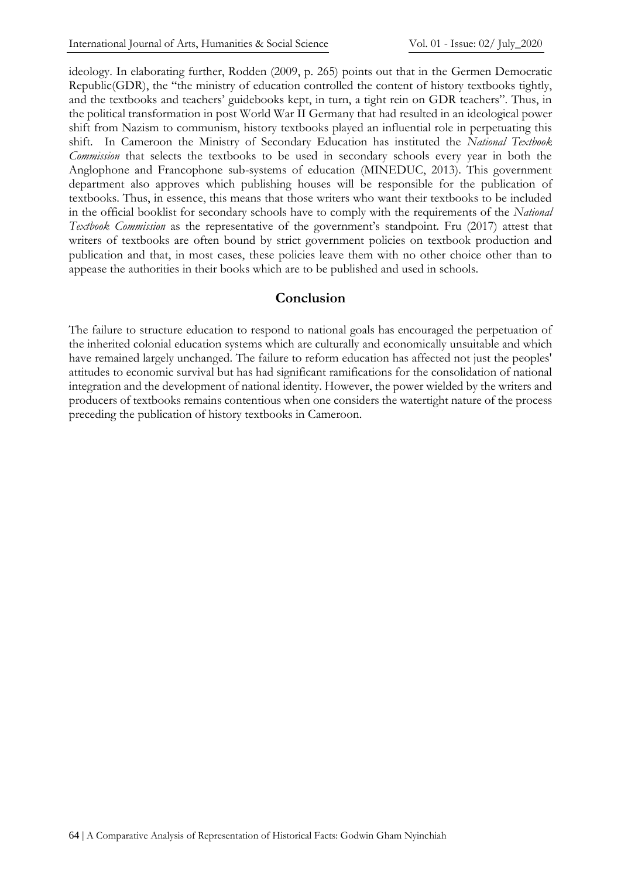ideology. In elaborating further, Rodden (2009, p. 265) points out that in the Germen Democratic Republic(GDR), the "the ministry of education controlled the content of history textbooks tightly, and the textbooks and teachers' guidebooks kept, in turn, a tight rein on GDR teachers". Thus, in the political transformation in post World War II Germany that had resulted in an ideological power shift from Nazism to communism, history textbooks played an influential role in perpetuating this shift. In Cameroon the Ministry of Secondary Education has instituted the *National Textbook Commission* that selects the textbooks to be used in secondary schools every year in both the Anglophone and Francophone sub-systems of education (MINEDUC, 2013). This government department also approves which publishing houses will be responsible for the publication of textbooks. Thus, in essence, this means that those writers who want their textbooks to be included in the official booklist for secondary schools have to comply with the requirements of the *National Textbook Commission* as the representative of the government's standpoint. Fru (2017) attest that writers of textbooks are often bound by strict government policies on textbook production and publication and that, in most cases, these policies leave them with no other choice other than to appease the authorities in their books which are to be published and used in schools.

### **Conclusion**

The failure to structure education to respond to national goals has encouraged the perpetuation of the inherited colonial education systems which are culturally and economically unsuitable and which have remained largely unchanged. The failure to reform education has affected not just the peoples' attitudes to economic survival but has had significant ramifications for the consolidation of national integration and the development of national identity. However, the power wielded by the writers and producers of textbooks remains contentious when one considers the watertight nature of the process preceding the publication of history textbooks in Cameroon.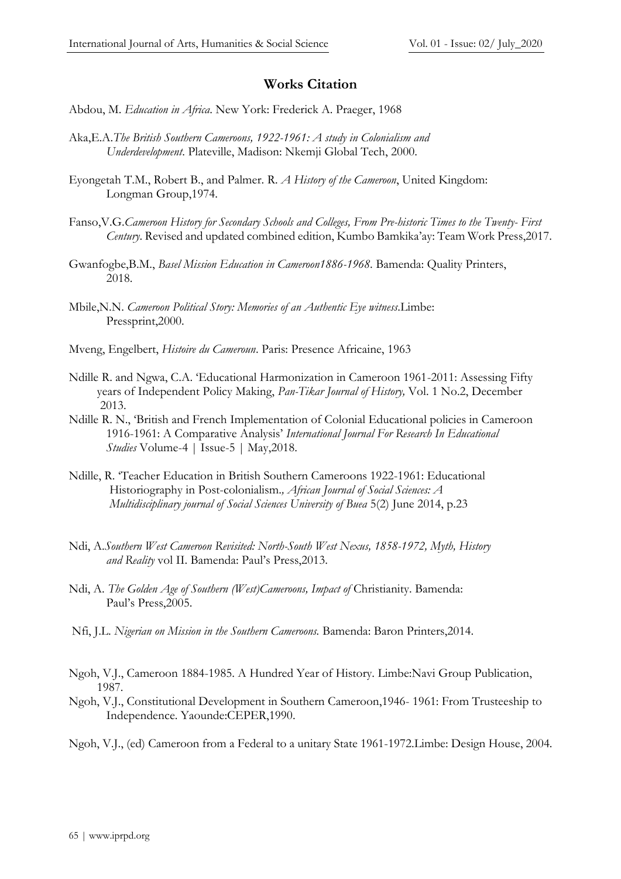### **Works Citation**

- Abdou, M. *Education in Africa*. New York: Frederick A. Praeger, 1968
- Aka,E.A.*The British Southern Cameroons, 1922-1961: A study in Colonialism and Underdevelopment*. Plateville, Madison: Nkemji Global Tech, 2000.
- Eyongetah T.M., Robert B., and Palmer. R. *A History of the Cameroon*, United Kingdom: Longman Group,1974.
- Fanso,V.G.*Cameroon History for Secondary Schools and Colleges, From Pre-historic Times to the Twenty- First Century*. Revised and updated combined edition, Kumbo Bamkika'ay: Team Work Press,2017.
- Gwanfogbe,B.M., *Basel Mission Education in Cameroon1886-1968*. Bamenda: Quality Printers, 2018.
- Mbile,N.N. *Cameroon Political Story: Memories of an Authentic Eye witness*.Limbe: Pressprint,2000.
- Mveng, Engelbert, *Histoire du Cameroun*. Paris: Presence Africaine, 1963
- Ndille R. and Ngwa, C.A. 'Educational Harmonization in Cameroon 1961-2011: Assessing Fifty years of Independent Policy Making, *Pan-Tikar Journal of History,* Vol. 1 No.2, December 2013.
- Ndille R. N., 'British and French Implementation of Colonial Educational policies in Cameroon 1916-1961: A Comparative Analysis' *International Journal For Research In Educational Studies* Volume-4 | Issue-5 | May,2018.
- Ndille, R. 'Teacher Education in British Southern Cameroons 1922-1961: Educational Historiography in Post-colonialism.*, African Journal of Social Sciences: A Multidisciplinary journal of Social Sciences University of Buea* 5(2) June 2014, p.23
- Ndi, A.*Southern West Cameroon Revisited: North-South West Nexus, 1858-1972, Myth, History and Reality* vol II. Bamenda: Paul's Press,2013.
- Ndi, A. *The Golden Age of Southern (West)Cameroons, Impact of* Christianity. Bamenda: Paul's Press,2005.
- Nfi, J.L. *Nigerian on Mission in the Southern Cameroons.* Bamenda: Baron Printers,2014.
- Ngoh, V.J., Cameroon 1884-1985. A Hundred Year of History. Limbe:Navi Group Publication, 1987.
- Ngoh, V.J., Constitutional Development in Southern Cameroon,1946- 1961: From Trusteeship to Independence. Yaounde:CEPER,1990.
- Ngoh, V.J., (ed) Cameroon from a Federal to a unitary State 1961-1972.Limbe: Design House, 2004.